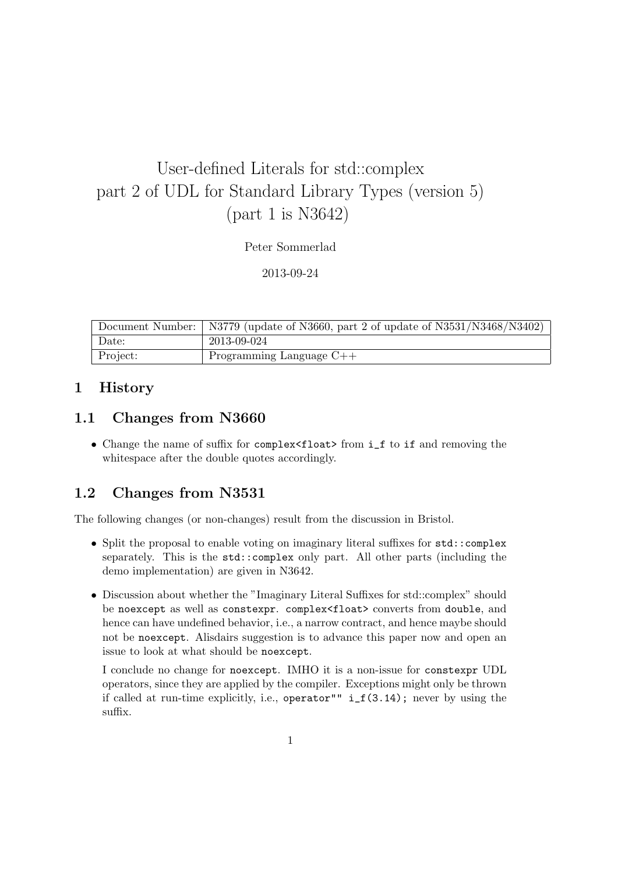# User-defined Literals for std::complex part 2 of UDL for Standard Library Types (version 5) (part 1 is N3642)

Peter Sommerlad

2013-09-24

|          | Document Number:   N3779 (update of N3660, part 2 of update of N3531/N3468/N3402) |
|----------|-----------------------------------------------------------------------------------|
| Date:    | 2013-09-024                                                                       |
| Project: | Programming Language $C++$                                                        |

# 1 History

# 1.1 Changes from N3660

• Change the name of suffix for complex<float> from i\_f to if and removing the whitespace after the double quotes accordingly.

# 1.2 Changes from N3531

The following changes (or non-changes) result from the discussion in Bristol.

- Split the proposal to enable voting on imaginary literal suffixes for std::complex separately. This is the std::complex only part. All other parts (including the demo implementation) are given in N3642.
- Discussion about whether the "Imaginary Literal Suffixes for std::complex" should be noexcept as well as constexpr. complex<float> converts from double, and hence can have undefined behavior, i.e., a narrow contract, and hence maybe should not be noexcept. Alisdairs suggestion is to advance this paper now and open an issue to look at what should be noexcept.

I conclude no change for noexcept. IMHO it is a non-issue for constexpr UDL operators, since they are applied by the compiler. Exceptions might only be thrown if called at run-time explicitly, i.e., operator"" i\_f(3.14); never by using the suffix.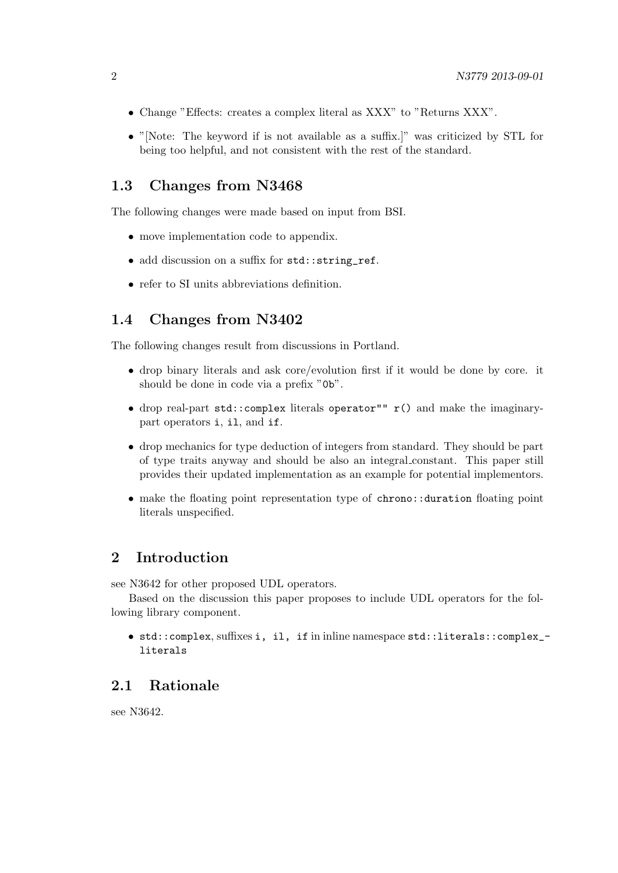- Change "Effects: creates a complex literal as XXX" to "Returns XXX".
- "[Note: The keyword if is not available as a suffix.]" was criticized by STL for being too helpful, and not consistent with the rest of the standard.

#### 1.3 Changes from N3468

The following changes were made based on input from BSI.

- move implementation code to appendix.
- add discussion on a suffix for std::string\_ref.
- refer to SI units abbreviations definition.

#### 1.4 Changes from N3402

The following changes result from discussions in Portland.

- drop binary literals and ask core/evolution first if it would be done by core. it should be done in code via a prefix "0b".
- drop real-part std::complex literals operator"" r() and make the imaginarypart operators i, il, and if.
- drop mechanics for type deduction of integers from standard. They should be part of type traits anyway and should be also an integral constant. This paper still provides their updated implementation as an example for potential implementors.
- make the floating point representation type of chrono::duration floating point literals unspecified.

## 2 Introduction

see N3642 for other proposed UDL operators.

Based on the discussion this paper proposes to include UDL operators for the following library component.

• std::complex, suffixes i, il, if in inline namespace std::literals::complex\_ literals

#### 2.1 Rationale

see N3642.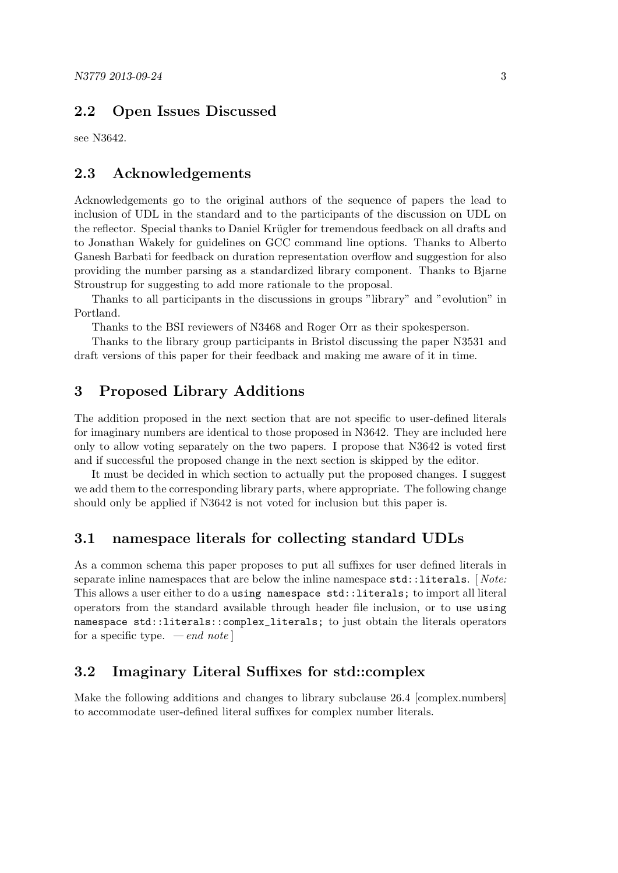# 2.2 Open Issues Discussed

see N3642.

#### 2.3 Acknowledgements

Acknowledgements go to the original authors of the sequence of papers the lead to inclusion of UDL in the standard and to the participants of the discussion on UDL on the reflector. Special thanks to Daniel Krügler for tremendous feedback on all drafts and to Jonathan Wakely for guidelines on GCC command line options. Thanks to Alberto Ganesh Barbati for feedback on duration representation overflow and suggestion for also providing the number parsing as a standardized library component. Thanks to Bjarne Stroustrup for suggesting to add more rationale to the proposal.

Thanks to all participants in the discussions in groups "library" and "evolution" in Portland.

Thanks to the BSI reviewers of N3468 and Roger Orr as their spokesperson.

Thanks to the library group participants in Bristol discussing the paper N3531 and draft versions of this paper for their feedback and making me aware of it in time.

#### 3 Proposed Library Additions

The addition proposed in the next section that are not specific to user-defined literals for imaginary numbers are identical to those proposed in N3642. They are included here only to allow voting separately on the two papers. I propose that N3642 is voted first and if successful the proposed change in the next section is skipped by the editor.

It must be decided in which section to actually put the proposed changes. I suggest we add them to the corresponding library parts, where appropriate. The following change should only be applied if N3642 is not voted for inclusion but this paper is.

#### 3.1 namespace literals for collecting standard UDLs

As a common schema this paper proposes to put all suffixes for user defined literals in separate inline namespaces that are below the inline namespace  $\text{std}$ ::literals. [Note: This allows a user either to do a using namespace std::literals; to import all literal operators from the standard available through header file inclusion, or to use using namespace std::literals::complex\_literals; to just obtain the literals operators for a specific type.  $\,-\,end\,note\]$ 

## 3.2 Imaginary Literal Suffixes for std::complex

Make the following additions and changes to library subclause 26.4 [complex.numbers] to accommodate user-defined literal suffixes for complex number literals.